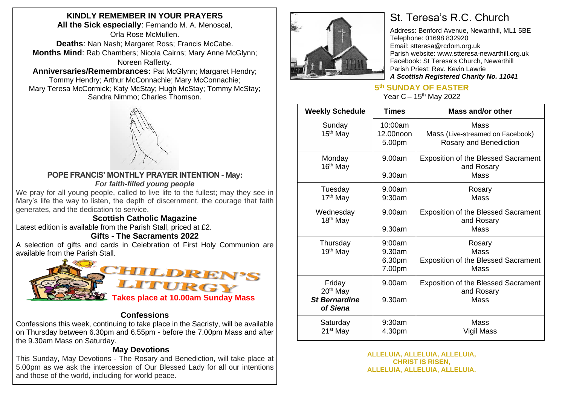# **KINDLY REMEMBER IN YOUR PRAYERS**

**All the Sick especially**: Fernando M. A. Menoscal, Orla Rose McMullen. **Deaths**: Nan Nash; Margaret Ross; Francis McCabe.

**Months Mind**: Rab Chambers; Nicola Cairns; Mary Anne McGlynn; Noreen Rafferty.

**Anniversaries/Remembrances:** Pat McGlynn; Margaret Hendry; Tommy Hendry; Arthur McConnachie; Mary McConnachie; Mary Teresa McCormick; Katy McStay; Hugh McStay; Tommy McStay; Sandra Nimmo; Charles Thomson.



#### **POPE FRANCIS' MONTHLY PRAYER INTENTION - May:** *For faith-filled young people*

We pray for all young people, called to live life to the fullest; may they see in Mary's life the way to listen, the depth of discernment, the courage that faith generates, and the dedication to service.

### **Scottish Catholic Magazine**

Latest edition is available from the Parish Stall, priced at £2.

### **Gifts - The Sacraments 2022**

A selection of gifts and cards in Celebration of First Holy Communion are available from the Parish Stall.



#### **Confessions**

Confessions this week, continuing to take place in the Sacristy, will be available on Thursday between 6.30pm and 6.55pm - before the 7.00pm Mass and after the 9.30am Mass on Saturday.

### **May Devotions**

This Sunday, May Devotions - The Rosary and Benediction, will take place at 5.00pm as we ask the intercession of Our Blessed Lady for all our intentions and those of the world, including for world peace.



# St. Teresa's R.C. Church

Address: Benford Avenue, Newarthill, ML1 5BE Telephone: 01698 832920 Email: stteresa@rcdom.org.uk Parish website: [www.stteresa-newarthill.org.uk](http://www.stteresa-newarthill.org.uk/) Facebook: St Teresa's Church, Newarthill Parish Priest: Rev. Kevin Lawrie *A Scottish Registered Charity No. 11041*

# **5 th SUNDAY OF EASTER**

Year  $C - 15$ <sup>th</sup> May 2022

| <b>Weekly Schedule</b>                                             | <b>Times</b>                         | Mass and/or other                                                       |
|--------------------------------------------------------------------|--------------------------------------|-------------------------------------------------------------------------|
| Sunday<br>15 <sup>th</sup> May                                     | 10:00am<br>12.00noon<br>5.00pm       | Mass<br>Mass (Live-streamed on Facebook)<br>Rosary and Benediction      |
| Monday<br>16 <sup>th</sup> May                                     | 9.00am<br>9.30am                     | <b>Exposition of the Blessed Sacrament</b><br>and Rosary<br>Mass        |
| Tuesday<br>17 <sup>th</sup> May                                    | 9.00am<br>9:30am                     | Rosary<br><b>Mass</b>                                                   |
| Wednesday<br>18 <sup>th</sup> May                                  | 9.00am<br>9.30am                     | <b>Exposition of the Blessed Sacrament</b><br>and Rosary<br>Mass        |
| Thursday<br>19 <sup>th</sup> May                                   | 9:00am<br>9.30am<br>6.30pm<br>7.00pm | Rosary<br>Mass<br><b>Exposition of the Blessed Sacrament</b><br>Mass    |
| Friday<br>20 <sup>th</sup> May<br><b>St Bernardine</b><br>of Siena | 9.00am<br>9.30am                     | <b>Exposition of the Blessed Sacrament</b><br>and Rosary<br><b>Mass</b> |
| Saturday<br>$21st$ May                                             | 9:30am<br>4.30pm                     | Mass<br>Vigil Mass                                                      |

#### **ALLELUIA, ALLELUIA, ALLELUIA, CHRIST IS RISEN, ALLELUIA, ALLELUIA, ALLELUIA.**